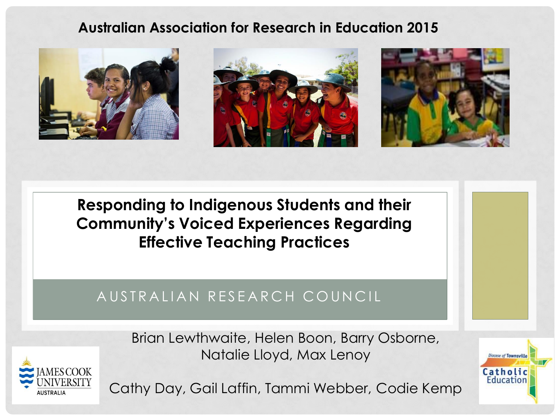#### **Australian Association for Research in Education 2015**



**Responding to Indigenous Students and their Community's Voiced Experiences Regarding Effective Teaching Practices**

#### A USTRALIAN RESEARCH COUNCIL

Brian Lewthwaite, Helen Boon, Barry Osborne, Natalie Lloyd, Max Lenoy



Cathy Day, Gail Laffin, Tammi Webber, Codie Kemp

**Diocese of Townsville** Catholic Education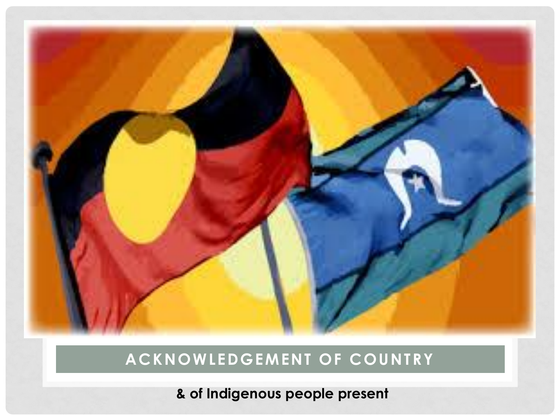#### **& of Indigenous people present**

#### **ACKNOWLEDGEMENT OF COUNTRY**

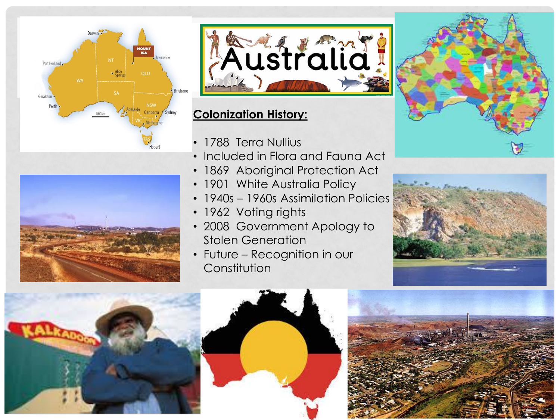





#### **Colonization History:**

- 1788 Terra Nullius
- Included in Flora and Fauna Act
- 1869 Aboriginal Protection Act
- 1901 White Australia Policy
- 1940s 1960s Assimilation Policies
- 1962 Voting rights
- 2008 Government Apology to Stolen Generation
- Future Recognition in our **Constitution**









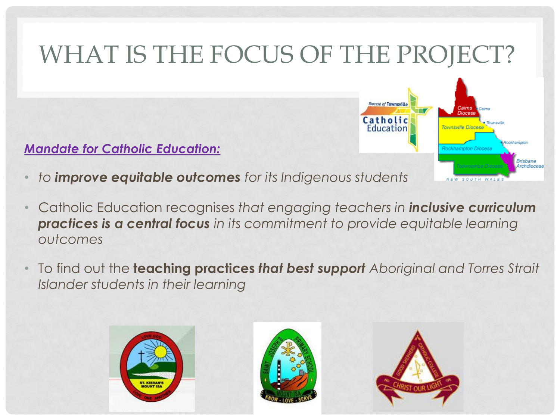#### WHAT IS THE FOCUS OF THE PROJECT? **Diocese of Townsville** Catholic Education Townsville Diocese *Mandate for Catholic Education:*  Brisbane Archdiocese • *to improve equitable outcomes for its Indigenous students*

- Catholic Education recognises *that engaging teachers in inclusive curriculum practices is a central focus in its commitment to provide equitable learning outcomes*
- To find out the **teaching practices** *that best support Aboriginal and Torres Strait Islander students in their learning*







SOUTH WAI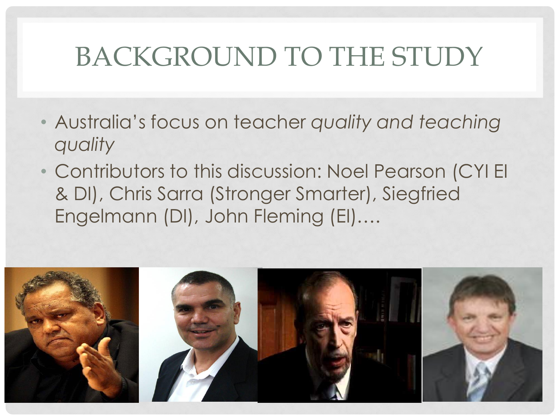## BACKGROUND TO THE STUDY

- Australia's focus on teacher *quality and teaching quality*
- Contributors to this discussion: Noel Pearson (CYI EI & DI), Chris Sarra (Stronger Smarter), Siegfried Engelmann (DI), John Fleming (EI)….

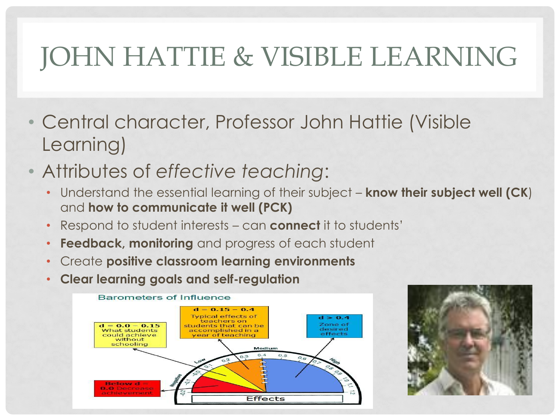# JOHN HATTIE & VISIBLE LEARNING

- Central character, Professor John Hattie (Visible Learning)
- Attributes of *effective teaching*:
	- Understand the essential learning of their subject **know their subject well (CK**) and **how to communicate it well (PCK)**
	- Respond to student interests can **connect** it to students'
	- **Feedback, monitoring** and progress of each student
	- Create **positive classroom learning environments**
	- **Clear learning goals and self-regulation**



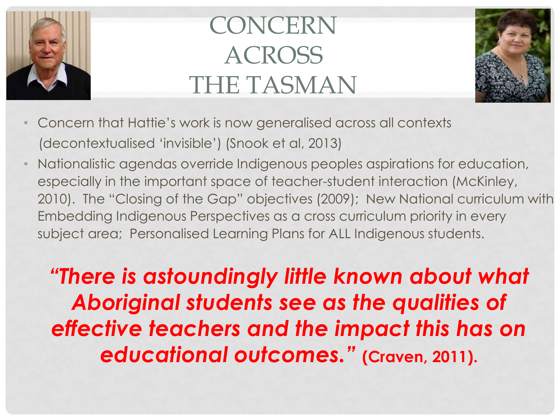

# CONCERN **ACROSS** THE TASMAN



- Concern that Hattie's work is now generalised across all contexts (decontextualised 'invisible') (Snook et al, 2013)
- Nationalistic agendas override Indigenous peoples aspirations for education, especially in the important space of teacher-student interaction (McKinley, 2010). The "Closing of the Gap" objectives (2009); New National curriculum with Embedding Indigenous Perspectives as a cross curriculum priority in every subject area; Personalised Learning Plans for ALL Indigenous students.

*"There is astoundingly little known about what Aboriginal students see as the qualities of effective teachers and the impact this has on educational outcomes."* **(Craven, 2011).**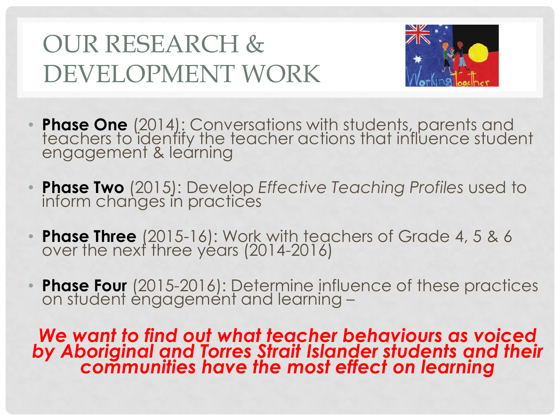## OUR RESEARCH & DEVELOPMENT WORK



- **Phase One** (2014): Conversations with students, parents and teachers to identify the teacher actions that influence student engagement & learning
- **Phase Two** (2015): Develop *Effective Teaching Profiles* used to inform changes in practices
- **Phase Three** (2015-16): Work with teachers of Grade 4, 5 & 6 over the next three years (2014-2016)
- **Phase Four** (2015-2016): Determine influence of these practices on student engagement and learning -

*We want to find out what teacher behaviours as voiced by Aboriginal and Torres Strait Islander students and their communities have the most effect on learning*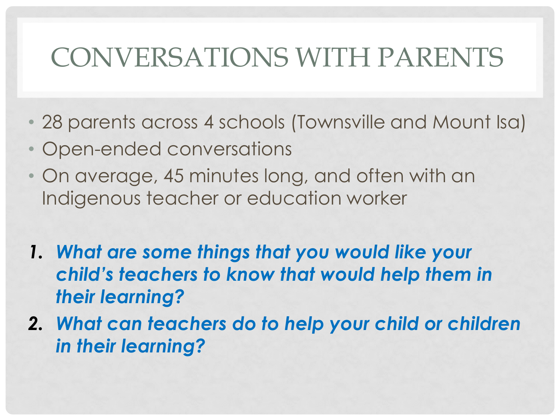## CONVERSATIONS WITH PARENTS

- 28 parents across 4 schools (Townsville and Mount Isa)
- Open-ended conversations
- On average, 45 minutes long, and often with an Indigenous teacher or education worker
- *1. What are some things that you would like your child's teachers to know that would help them in their learning?*
- *2. What can teachers do to help your child or children in their learning?*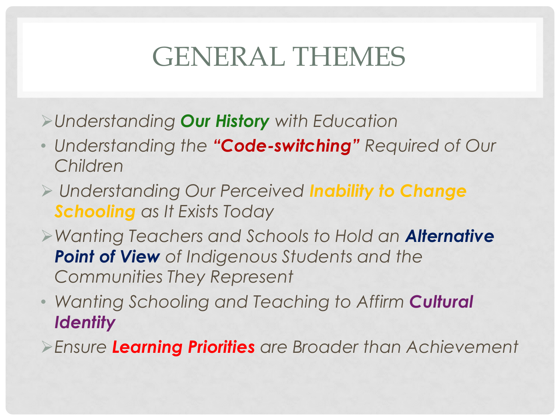## GENERAL THEMES

- *Understanding Our History with Education*
- *Understanding the "Code-switching" Required of Our Children*
- *Understanding Our Perceived Inability to Change Schooling as It Exists Today*
- *Wanting Teachers and Schools to Hold an Alternative Point of View of Indigenous Students and the Communities They Represent*
- *Wanting Schooling and Teaching to Affirm Cultural Identity*
- *Ensure Learning Priorities are Broader than Achievement*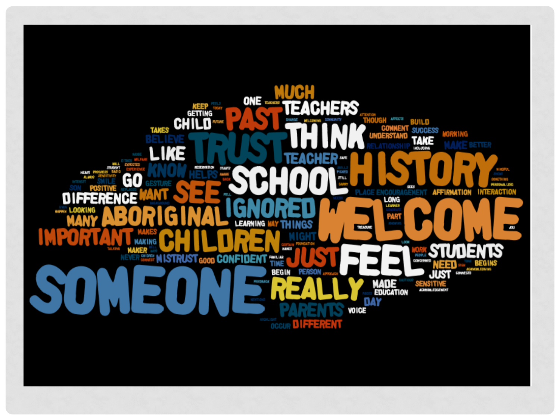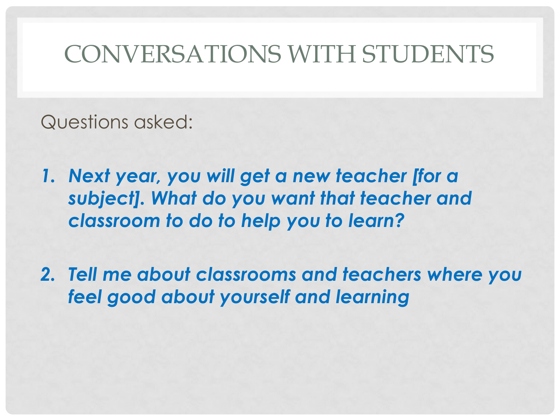#### CONVERSATIONS WITH STUDENTS

Questions asked:

- *1. Next year, you will get a new teacher [for a subject]. What do you want that teacher and classroom to do to help you to learn?*
- *2. Tell me about classrooms and teachers where you feel good about yourself and learning*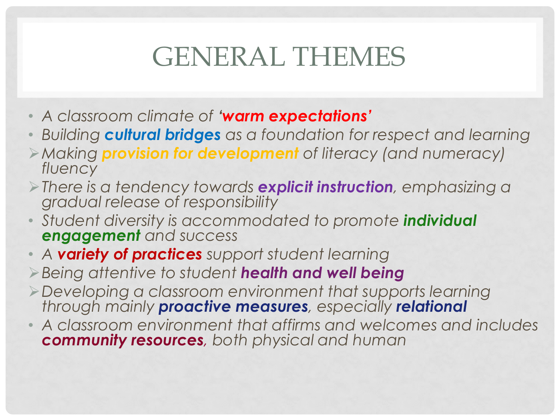## GENERAL THEMES

- *A classroom climate of 'warm expectations'*
- *Building cultural bridges as a foundation for respect and learning*
- *Making provision for development of literacy (and numeracy) fluency*
- *There is a tendency towards explicit instruction, emphasizing a gradual release of responsibility*
- *Student diversity is accommodated to promote individual engagement and success*
- *A variety of practices support student learning*
- *Being attentive to student health and well being*
- *Developing a classroom environment that supports learning through mainly proactive measures, especially relational*
- *A classroom environment that affirms and welcomes and includes community resources, both physical and human*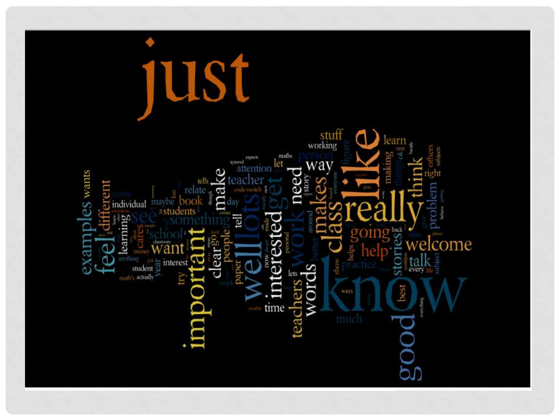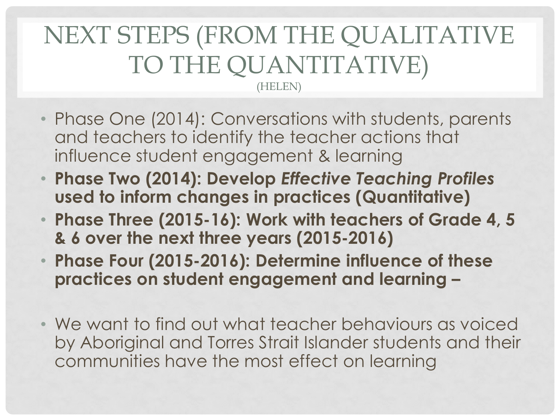#### NEXT STEPS (FROM THE QUALITATIVE TO THE QUANTITATIVE) (HELEN)

- Phase One (2014): Conversations with students, parents and teachers to identify the teacher actions that influence student engagement & learning
- **Phase Two (2014): Develop** *Effective Teaching Profiles*  **used to inform changes in practices (Quantitative)**
- **Phase Three (2015-16): Work with teachers of Grade 4, 5 & 6 over the next three years (2015-2016)**
- **Phase Four (2015-2016): Determine influence of these practices on student engagement and learning –**
- We want to find out what teacher behaviours as voiced by Aboriginal and Torres Strait Islander students and their communities have the most effect on learning